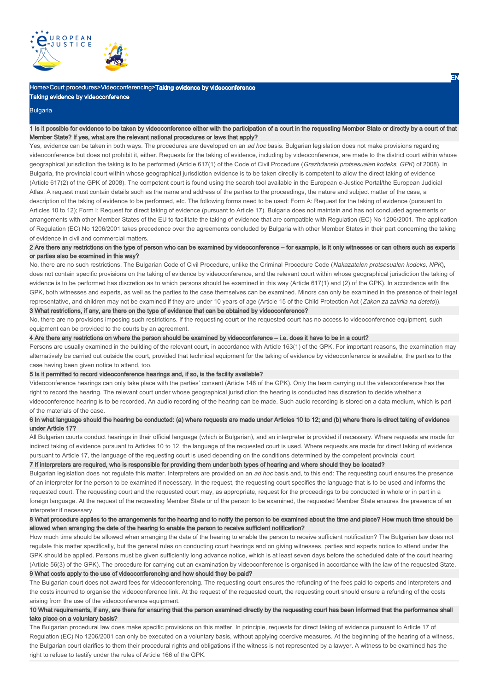

# Home>Court procedures>Videoconferencing>Taking evidence by videoconference

Taking evidence by videoconference

#### Bulgaria

## 1 Is it possible for evidence to be taken by videoconference either with the participation of a court in the requesting Member State or directly by a court of that Member State? If yes, what are the relevant national procedures or laws that apply?

Yes, evidence can be taken in both ways. The procedures are developed on an ad hoc basis. Bulgarian legislation does not make provisions regarding videoconference but does not prohibit it, either. Requests for the taking of evidence, including by videoconference, are made to the district court within whose geographical jurisdiction the taking is to be performed (Article 617(1) of the Code of Civil Procedure (Grazhdanski protsesualen kodeks, GPK) of 2008). In Bulgaria, the provincial court within whose geographical jurisdiction evidence is to be taken directly is competent to allow the direct taking of evidence (Article 617(2) of the GPK of 2008). The competent court is found using the search tool available in the European e-Justice Portal/the European Judicial Atlas. A request must contain details such as the name and address of the parties to the proceedings, the nature and subject matter of the case, a description of the taking of evidence to be performed, etc. The following forms need to be used: Form A: Request for the taking of evidence (pursuant to Articles 10 to 12); Form I: Request for direct taking of evidence (pursuant to Article 17). Bulgaria does not maintain and has not concluded agreements or arrangements with other Member States of the EU to facilitate the taking of evidence that are compatible with Regulation (EC) No 1206/2001. The application of Regulation (EC) No 1206/2001 takes precedence over the agreements concluded by Bulgaria with other Member States in their part concerning the taking of evidence in civil and commercial matters.

# 2 Are there any restrictions on the type of person who can be examined by videoconference – for example, is it only witnesses or can others such as experts or parties also be examined in this way?

No, there are no such restrictions. The Bulgarian Code of Civil Procedure, unlike the Criminal Procedure Code (Nakazatelen protsesualen kodeks, NPK), does not contain specific provisions on the taking of evidence by videoconference, and the relevant court within whose geographical jurisdiction the taking of evidence is to be performed has discretion as to which persons should be examined in this way (Article 617(1) and (2) of the GPK). In accordance with the GPK, both witnesses and experts, as well as the parties to the case themselves can be examined. Minors can only be examined in the presence of their legal representative, and children may not be examined if they are under 10 years of age (Article 15 of the Child Protection Act (Zakon za zakrila na deteto)). 3 What restrictions, if any, are there on the type of evidence that can be obtained by videoconference?

# No, there are no provisions imposing such restrictions. If the requesting court or the requested court has no access to videoconference equipment, such equipment can be provided to the courts by an agreement.

4 Are there any restrictions on where the person should be examined by videoconference – i.e. does it have to be in a court?

Persons are usually examined in the building of the relevant court, in accordance with Article 163(1) of the GPK. For important reasons, the examination may alternatively be carried out outside the court, provided that technical equipment for the taking of evidence by videoconference is available, the parties to the case having been given notice to attend, too.

#### 5 Is it permitted to record videoconference hearings and, if so, is the facility available?

Videoconference hearings can only take place with the parties' consent (Article 148 of the GPK). Only the team carrying out the videoconference has the right to record the hearing. The relevant court under whose geographical jurisdiction the hearing is conducted has discretion to decide whether a videoconference hearing is to be recorded. An audio recording of the hearing can be made. Such audio recording is stored on a data medium, which is part of the materials of the case.

# 6 In what language should the hearing be conducted: (a) where requests are made under Articles 10 to 12; and (b) where there is direct taking of evidence under Article 17?

All Bulgarian courts conduct hearings in their official language (which is Bulgarian), and an interpreter is provided if necessary. Where requests are made for indirect taking of evidence pursuant to Articles 10 to 12, the language of the requested court is used. Where requests are made for direct taking of evidence pursuant to Article 17, the language of the requesting court is used depending on the conditions determined by the competent provincial court.

### 7 If interpreters are required, who is responsible for providing them under both types of hearing and where should they be located?

Bulgarian legislation does not regulate this matter. Interpreters are provided on an ad hoc basis and, to this end: The requesting court ensures the presence of an interpreter for the person to be examined if necessary. In the request, the requesting court specifies the language that is to be used and informs the requested court. The requesting court and the requested court may, as appropriate, request for the proceedings to be conducted in whole or in part in a foreign language. At the request of the requesting Member State or of the person to be examined, the requested Member State ensures the presence of an interpreter if necessary.

## 8 What procedure applies to the arrangements for the hearing and to notify the person to be examined about the time and place? How much time should be allowed when arranging the date of the hearing to enable the person to receive sufficient notification?

How much time should be allowed when arranging the date of the hearing to enable the person to receive sufficient notification? The Bulgarian law does not regulate this matter specifically, but the general rules on conducting court hearings and on giving witnesses, parties and experts notice to attend under the GPK should be applied. Persons must be given sufficiently long advance notice, which is at least seven days before the scheduled date of the court hearing (Article 56(3) of the GPK). The procedure for carrying out an examination by videoconference is organised in accordance with the law of the requested State. 9 What costs apply to the use of videoconferencing and how should they be paid?

The Bulgarian court does not award fees for videoconferencing. The requesting court ensures the refunding of the fees paid to experts and interpreters and the costs incurred to organise the videoconferencе link. At the request of the requested court, the requesting court should ensure a refunding of the costs arising from the use of the videoconference equipment.

### 10 What requirements, if any, are there for ensuring that the person examined directly by the requesting court has been informed that the performance shall take place on a voluntary basis?

The Bulgarian procedural law does make specific provisions on this matter. In principle, requests for direct taking of evidence pursuant to Article 17 of Regulation (EC) No 1206/2001 can only be executed on a voluntary basis, without applying coercive measures. At the beginning of the hearing of a witness, the Bulgarian court clarifies to them their procedural rights and obligations if the witness is not represented by a lawyer. A witness to be examined has the right to refuse to testify under the rules of Article 166 of the GPK.

EN